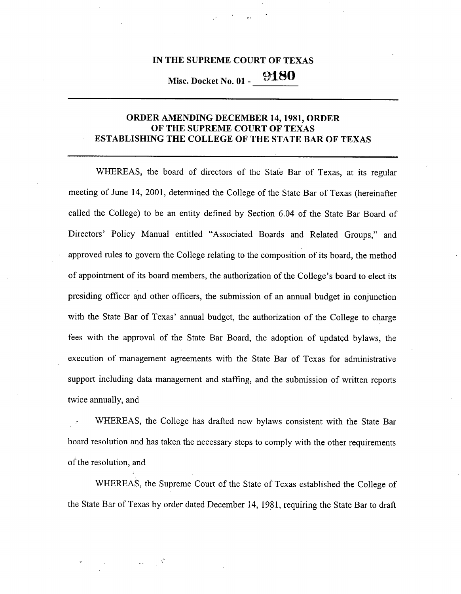## IN THE SUPREME COURT OF TEXAS

**Misc. Docket No.** 01 - 9180

## ORDER AMENDING DECEMBER 14,1981, ORDER OF THE SUPREME COURT OF TEXAS ESTABLISHING THE COLLEGE OF THE STATE BAR OF TEXAS

WHEREAS, the board of directors of the State Bar of Texas, at its regular meeting of June 14, 2001, determined the College of the State Bar of Texas (hereinafter called the College) to be an entity defined by Section 6.04 of the State Bar Board of Directors' Policy Manual entitled "Associated Boards and Related Groups," and approved rules to govern the College relating to the composition of its board, the method of appointment of its board members, the authorization of the College's board to elect its presiding officer and other officers, the submission of an annual budget in conjunction with the State Bar of Texas' annual budget, the authorization of the College to charge fees with the approval of the State Bar Board, the adoption of updated bylaws, the execution of management agreements with the State Bar of Texas for administrative support including data management and staffing, and the submission of written reports twice annually, and

WHEREAS, the College has drafted new bylaws consistent with the State Bar board resolution and has taken the necessary steps to comply with the other requirements of the resolution, and

WHEREAS, the Supreme Court of the State of Texas established the College of the State Bar of Texas by order dated December 14, 1981, requiring the State Bar to draft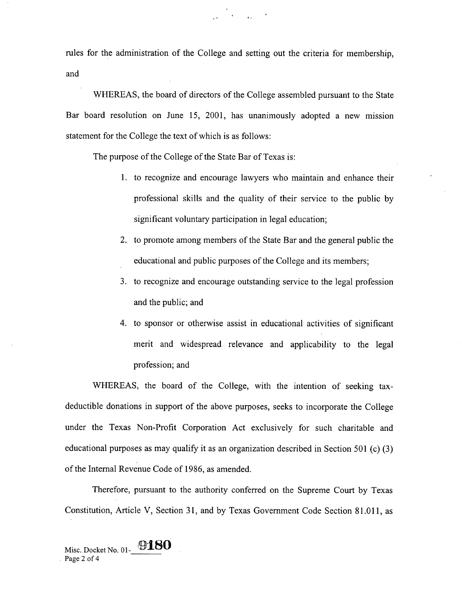rules for the administration of the College and setting out the criteria for membership, and

 $\mathcal{L}_{\mathbf{z}}$  and the contract of  $\mathcal{L}_{\mathbf{z}}$ 

WHEREAS, the board of directors of the College assembled pursuant to the State Bar board resolution on June 15, 2001, has unanimously adopted a new mission statement for the College the text of which is as follows:

The purpose of the College of the State Bar of Texas is:

- 1. to recognize and encourage lawyers who maintain and enhance their professional skills and the quality of their service to the public by significant voluntary participation in legal education;
- 2. to promote among members of the State Bar and the general public the educational and public purposes of the College and its members;
- 3. to recognize and encourage outstanding service to the legal profession and the public; and
- 4. to sponsor or otherwise assist in educational activities of significant merit and widespread relevance and applicability to the legal profession; and

WHEREAS, the board of the College, with the intention of seeking taxdeductible donations in support of the above purposes, seeks to incorporate the College under the Texas Non-Profit Corporation Act exclusively for such charitable and educational purposes as may qualify it as an organization described in Section 501 (c) (3) of the Internal Revenue Code of 1986, as amended.

Therefore, pursuant to the authority conferred on the Supreme Court by Texas Constitution, Article V, Section 31, and by Texas Government Code Section 81.011, as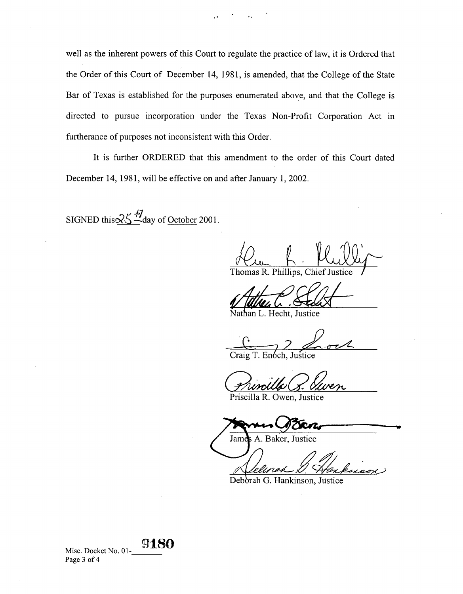well as the inherent powers of this Court to regulate the practice of law, it is Ordered that the Order of this Court of December 14, 1981, is amended, that the College of the State Bar of Texas is established for the purposes enumerated above, and that the College is directed to pursue incorporation under the Texas Non-Profit Corporation Act in furtherance of purposes not inconsistent with this Order.

It is further ORDERED that this amendment to the order of this Court dated December 14, 1981, will be effective on and after January 1, 2002.

SIGNED this  $25 - 4$  day of October 2001.

Thomas R. Phillips, Chief Justice

Nathan L. Hecht, Justice

 $\mathcal{Z}$ Craig T. Enoch, Justice  $\sigma$ 

Priscilla R. Owen, Justice

Jame **A.** Baker, Justice

Deborah G. Hankinson, Justice

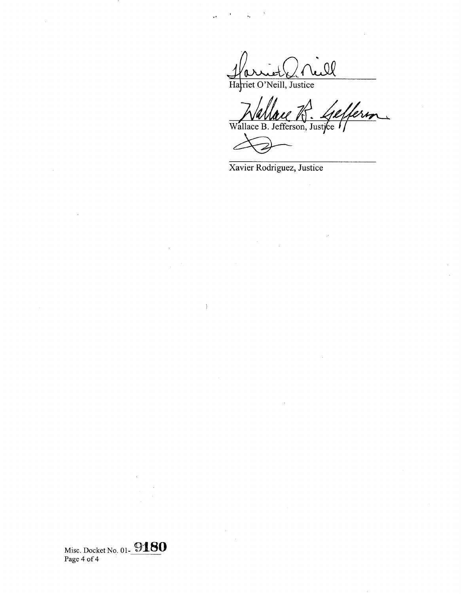Harriet d'Aill

 $\ddot{\phantom{a}}$ 

 $\,$   $\,$ 

Wallace R. Gefferson

Xavier Rodriguez, Justice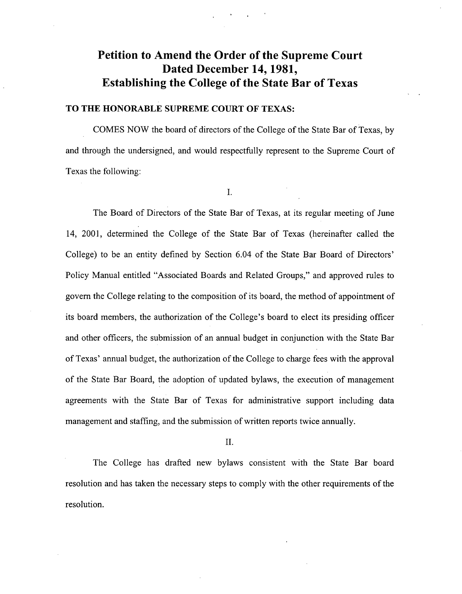# Petition to Amend the Order of the Supreme Court Dated December 14, 1981, Establishing the College of the State Bar of Texas

### TO THE HONORABLE SUPREME COURT OF TEXAS:

COMES NOW the board of directors of the College of the State Bar of Texas, by and through the undersigned, and would respectfully represent to the Supreme Court of Texas the following:

I.

The Board of Directors of the State Bar of Texas, at its regular meeting of June 14, 2001, determined the College of the State Bar of Texas (hereinafter called the College) to be an entity defined by Section 6.04 of the State Bar Board of Directors' Policy Manual entitled "Associated Boards and Related Groups," and approved rules to govern the College relating to the composition of its board, the method of appointment of its board members, the authorization of the College's board to elect its presiding officer and other officers, the submission of an annual budget in conjunction with the State Bar of Texas' annual budget, the authorization of the College to charge fees with the approval of the State Bar Board, the adoption of updated bylaws, the execution of management agreements with the State Bar of Texas for administrative support including data management and staffing, and the submission of written reports twice annually.

II.

The College has drafted new bylaws consistent with the State Bar board resolution and has taken the necessary steps to comply with the other requirements of the resolution.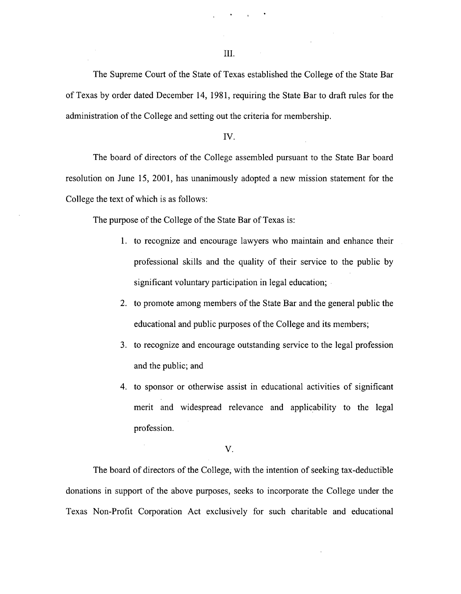**III.**

**The Supreme** Court of the **State of Texas established the College of the State Bar** of Texas by **order dated December 14, 1981, requiring the State Bar to draft rules for the administration of the College and setting out the criteria for membership.**

#### IV.

The board **of directors** of the College **assembled pursuant to the State Bar board resolution on June 15,** 2001, **has unanimously adopted a new mission statement for the College the** text of which **is as follows:**

**The purpose of the College of the State Bar of Texas is:**

- **1. to recognize and encourage lawyers who maintain and enhance their professional skills and the** quality of **their service** to the public by **significant voluntary participation in legal education;**
- **2. to promote among members of the State Bar and the general public the educational and public purposes of the College and its members;**
- **3. to recognize and encourage outstanding service to the legal profession and the public; and**
- **4. to sponsor or otherwise assist in educational activities of significant** merit and widespread relevance and applicability to the legal profession.

#### V.

**The board of directors of the College, with the intention of seeking tax-deductible donations in support of the above purposes, seeks to incorporate the College under the Texas Non-Profit Corporation Act exclusively for such charitable and educational**